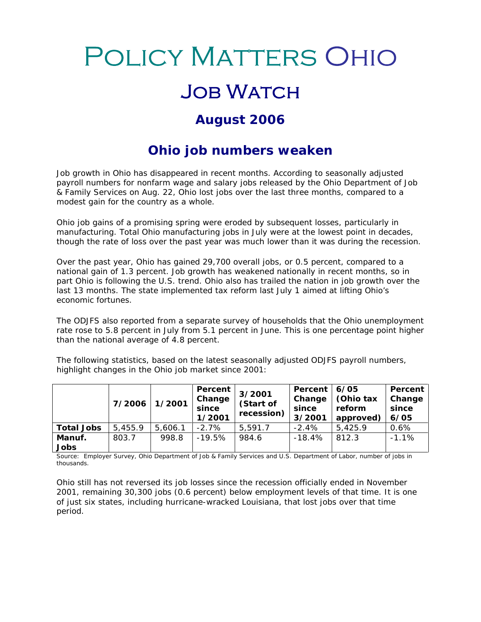## **POLICY MATTERS OHIO**

## **JOB WATCH**

## **August 2006**

## **Ohio job numbers weaken**

Job growth in Ohio has disappeared in recent months. According to seasonally adjusted payroll numbers for nonfarm wage and salary jobs released by the Ohio Department of Job & Family Services on Aug. 22, Ohio lost jobs over the last three months, compared to a modest gain for the country as a whole.

Ohio job gains of a promising spring were eroded by subsequent losses, particularly in manufacturing. Total Ohio manufacturing jobs in July were at the lowest point in decades, though the rate of loss over the past year was much lower than it was during the recession.

Over the past year, Ohio has gained 29,700 overall jobs, or 0.5 percent, compared to a national gain of 1.3 percent. Job growth has weakened nationally in recent months, so in part Ohio is following the U.S. trend. Ohio also has trailed the nation in job growth over the last 13 months. The state implemented tax reform last July 1 aimed at lifting Ohio's economic fortunes.

The ODJFS also reported from a separate survey of households that the Ohio unemployment rate rose to 5.8 percent in July from 5.1 percent in June. This is one percentage point higher than the national average of 4.8 percent.

The following statistics, based on the latest seasonally adjusted ODJFS payroll numbers, highlight changes in the Ohio job market since 2001:

|                   | 7/2006  | 1/2001  | Percent  <br>Change<br>since<br>1/2001 | 3/2001<br>(Start of<br>recession) | Percent<br>Change<br>since<br>$\vert$ 3/2001 $\vert$ | 6/05<br>Chio tax Change<br>reform<br>approved | Percent<br>since<br>6/05 |
|-------------------|---------|---------|----------------------------------------|-----------------------------------|------------------------------------------------------|-----------------------------------------------|--------------------------|
| <b>Total Jobs</b> | 5,455.9 | 5,606.1 | $-2.7%$                                | 5,591.7                           | $\sqrt{40}$<br>-2.47                                 | 5,425.                                        | 0.6%                     |
| Manuf.            | 803.7   | 998.8   | $-19.5%$                               | 984.c                             | -18.4%                                               | 812.3                                         | $-1.1%$                  |
| Jobs              |         |         |                                        |                                   |                                                      |                                               |                          |

Source: Employer Survey, Ohio Department of Job & Family Services and U.S. Department of Labor, number of jobs in thousands.

Ohio still has not reversed its job losses since the recession officially ended in November 2001, remaining 30,300 jobs (0.6 percent) below employment levels of that time.It is one of just six states, including hurricane-wracked Louisiana, that lost jobs over that time period.